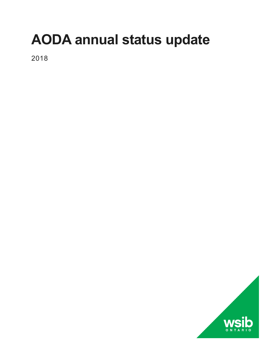# **AODA annual status update**

2018

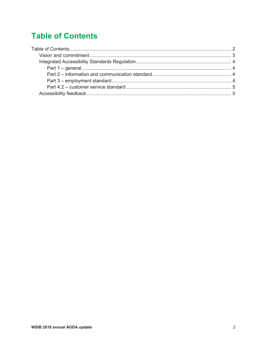# <span id="page-1-0"></span>**Table of Contents**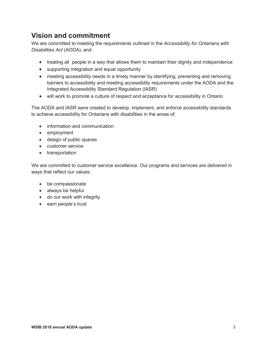# <span id="page-2-0"></span>**Vision and commitment**

We are committed to meeting the requirements outlined in the *Accessibility for Ontarians with Disabilities Act* (AODA), and:

- treating all people in a way that allows them to maintain their dignity and independence
- supporting integration and equal opportunity
- meeting accessibility needs in a timely manner by identifying, preventing and removing barriers to accessibility and meeting accessibility requirements under the AODA and the Integrated Accessibility Standard Regulation (IASR)
- will work to promote a culture of respect and acceptance for accessibility in Ontario

The AODA and IASR were created to develop, implement, and enforce accessibility standards to achieve accessibility for Ontarians with disabilities in the areas of:

- information and communication
- employment
- design of public spaces
- customer service
- transportation

We are committed to customer service excellence. Our programs and services are delivered in ways that reflect our values:

- be compassionate
- always be helpful
- do our work with integrity
- earn people's trust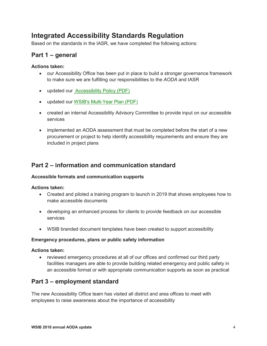# <span id="page-3-0"></span>**Integrated Accessibility Standards Regulation**

Based on the standards in the IASR, we have completed the following actions:

## <span id="page-3-1"></span>**Part 1 – general**

#### **Actions taken:**

- our Accessibility Office has been put in place to build a stronger governance framework to make sure we are fulfilling our responsibilities to the *AODA* and IASR
- updated our [Accessibility Policy](http://www.wsib.on.ca/cs/idcplg?IdcService=GET_FILE&dDocName=WSIB073303&RevisionSelectionMethod=LatestReleased) (PDF)
- updated our [WSIB's Multi-Year Plan](http://www.wsib.on.ca/cs/idcplg?IdcService=GET_FILE&dDocName=WSIB074028&RevisionSelectionMethod=LatestReleased) (PDF)
- created an internal Accessibility Advisory Committee to provide input on our accessible services
- implemented an AODA assessment that must be completed before the start of a new procurement or project to help identify accessibility requirements and ensure they are included in project plans

## <span id="page-3-2"></span>**Part 2 – information and communication standard**

#### **Accessible formats and communication supports**

#### **Actions taken:**

- Created and piloted a training program to launch in 2019 that shows employees how to make accessible documents
- developing an enhanced process for clients to provide feedback on our accessible services
- WSIB branded document templates have been created to support accessibility

#### **Emergency procedures, plans or public safety information**

#### **Actions taken:**

• reviewed emergency procedures at all of our offices and confirmed our third party facilities managers are able to provide building related emergency and public safety in an accessible format or with appropriate communication supports as soon as practical

## <span id="page-3-3"></span>**Part 3 – employment standard**

The new Accessibility Office team has visited all district and area offices to meet with employees to raise awareness about the importance of accessibility